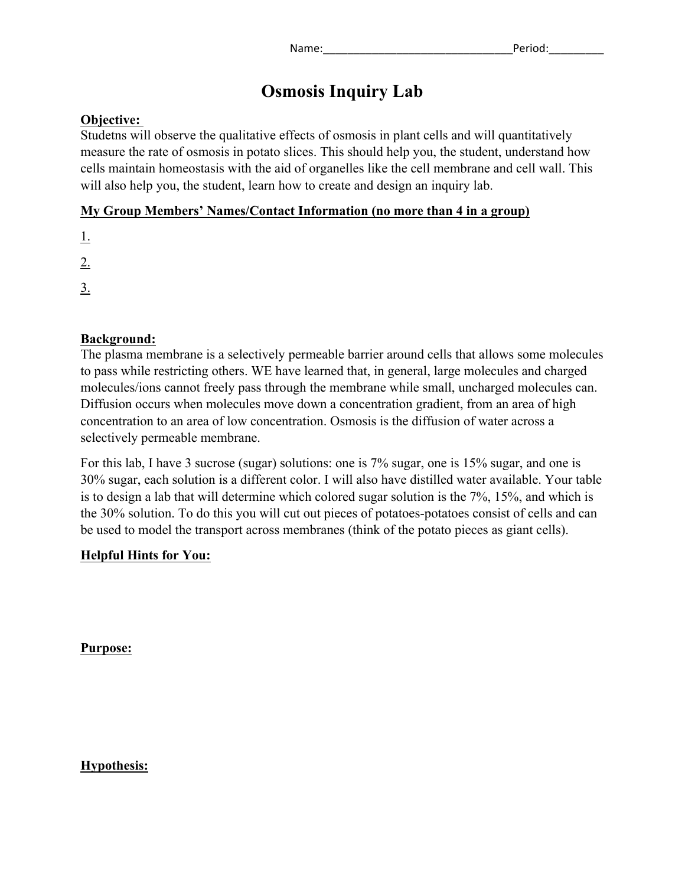# **Osmosis Inquiry Lab**

# **Objective:**

Studetns will observe the qualitative effects of osmosis in plant cells and will quantitatively measure the rate of osmosis in potato slices. This should help you, the student, understand how cells maintain homeostasis with the aid of organelles like the cell membrane and cell wall. This will also help you, the student, learn how to create and design an inquiry lab.

# **My Group Members' Names/Contact Information (no more than 4 in a group)**

1.

2.

3.

# **Background:**

The plasma membrane is a selectively permeable barrier around cells that allows some molecules to pass while restricting others. WE have learned that, in general, large molecules and charged molecules/ions cannot freely pass through the membrane while small, uncharged molecules can. Diffusion occurs when molecules move down a concentration gradient, from an area of high concentration to an area of low concentration. Osmosis is the diffusion of water across a selectively permeable membrane.

For this lab, I have 3 sucrose (sugar) solutions: one is 7% sugar, one is 15% sugar, and one is 30% sugar, each solution is a different color. I will also have distilled water available. Your table is to design a lab that will determine which colored sugar solution is the 7%, 15%, and which is the 30% solution. To do this you will cut out pieces of potatoes-potatoes consist of cells and can be used to model the transport across membranes (think of the potato pieces as giant cells).

# **Helpful Hints for You:**

**Purpose:**

**Hypothesis:**